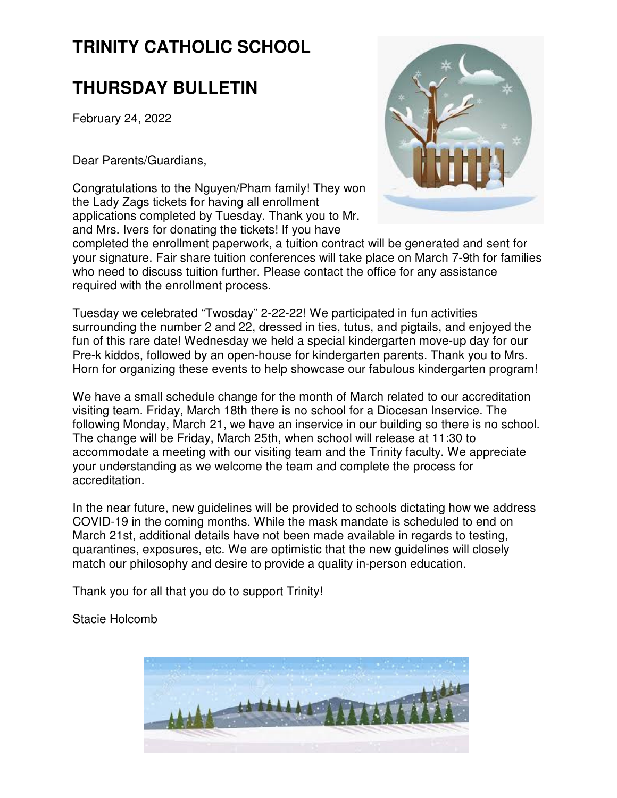# **TRINITY CATHOLIC SCHOOL**

# **THURSDAY BULLETIN**

February 24, 2022

Dear Parents/Guardians,

Congratulations to the Nguyen/Pham family! They won the Lady Zags tickets for having all enrollment applications completed by Tuesday. Thank you to Mr. and Mrs. Ivers for donating the tickets! If you have



completed the enrollment paperwork, a tuition contract will be generated and sent for your signature. Fair share tuition conferences will take place on March 7-9th for families who need to discuss tuition further. Please contact the office for any assistance required with the enrollment process.

Tuesday we celebrated "Twosday" 2-22-22! We participated in fun activities surrounding the number 2 and 22, dressed in ties, tutus, and pigtails, and enjoyed the fun of this rare date! Wednesday we held a special kindergarten move-up day for our Pre-k kiddos, followed by an open-house for kindergarten parents. Thank you to Mrs. Horn for organizing these events to help showcase our fabulous kindergarten program!

We have a small schedule change for the month of March related to our accreditation visiting team. Friday, March 18th there is no school for a Diocesan Inservice. The following Monday, March 21, we have an inservice in our building so there is no school. The change will be Friday, March 25th, when school will release at 11:30 to accommodate a meeting with our visiting team and the Trinity faculty. We appreciate your understanding as we welcome the team and complete the process for accreditation.

In the near future, new guidelines will be provided to schools dictating how we address COVID-19 in the coming months. While the mask mandate is scheduled to end on March 21st, additional details have not been made available in regards to testing, quarantines, exposures, etc. We are optimistic that the new guidelines will closely match our philosophy and desire to provide a quality in-person education.

Thank you for all that you do to support Trinity!

Stacie Holcomb

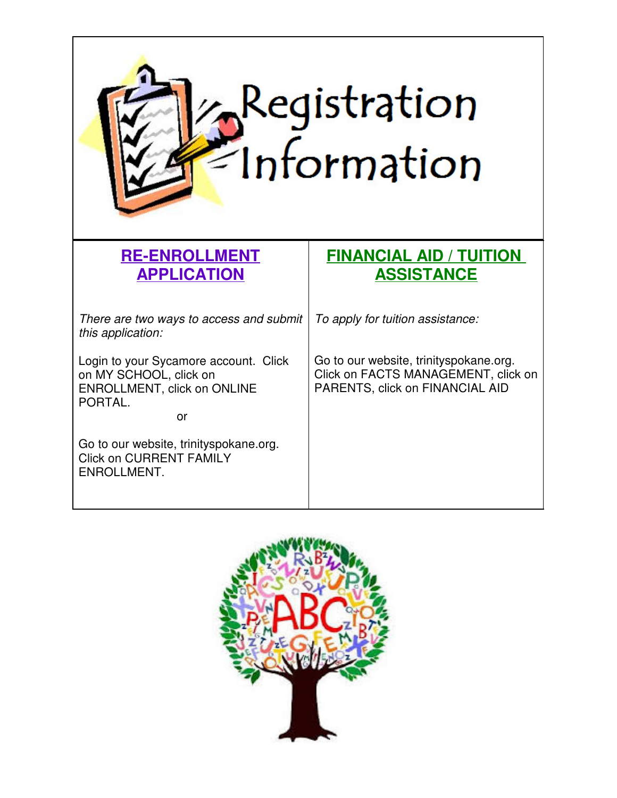

### **RE-ENROLLMENT APPLICATION**

There are two ways to access and submit this application:

Login to your Sycamore account. Click on MY SCHOOL, click on ENROLLMENT, click on ONLINE PORTAL.

**or** and the state of  $\alpha$ 

Go to our website, trinityspokane.org. Click on CURRENT FAMILY ENROLLMENT.

## **FINANCIAL AID / TUITION ASSISTANCE**

To apply for tuition assistance:

Go to our website, trinityspokane.org. Click on FACTS MANAGEMENT, click on PARENTS, click on FINANCIAL AID

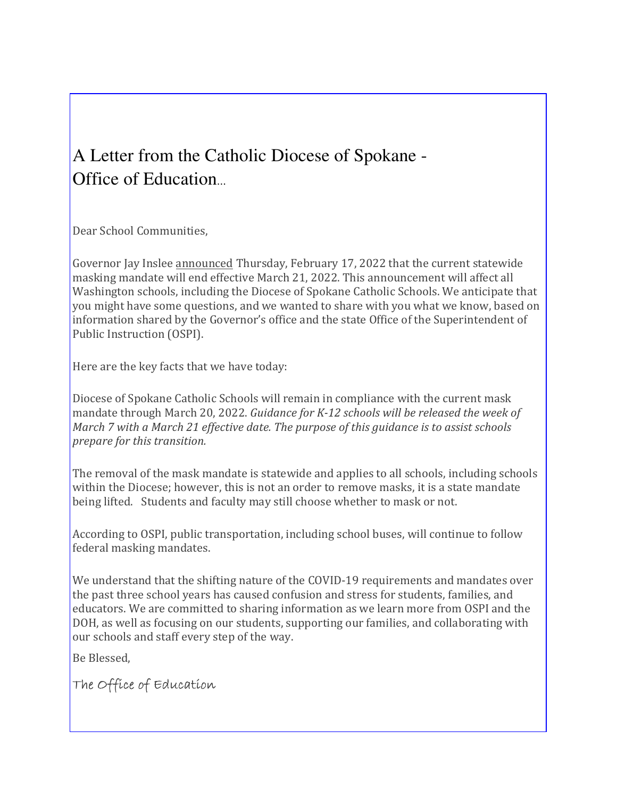# A Letter from the Catholic Diocese of Spokane - Office of Education.

Dear School Communities,

Governor Jay Inslee announced Thursday, February 17, 2022 that the current statewide masking mandate will end effective March 21, 2022. This announcement will affect all Washington schools, including the Diocese of Spokane Catholic Schools. We anticipate that you might have some questions, and we wanted to share with you what we know, based on information shared by the Governor's office and the state Office of the Superintendent of Public Instruction (OSPI).

Here are the key facts that we have today:

Diocese of Spokane Catholic Schools will remain in compliance with the current mask mandate through March 20, 2022. Guidance for K-12 schools will be released the week of March 7 with a March 21 effective date. The purpose of this guidance is to assist schools prepare for this transition.

The removal of the mask mandate is statewide and applies to all schools, including schools within the Diocese; however, this is not an order to remove masks, it is a state mandate being lifted. Students and faculty may still choose whether to mask or not.

According to OSPI, public transportation, including school buses, will continue to follow federal masking mandates.

We understand that the shifting nature of the COVID-19 requirements and mandates over the past three school years has caused confusion and stress for students, families, and educators. We are committed to sharing information as we learn more from OSPI and the DOH, as well as focusing on our students, supporting our families, and collaborating with our schools and staff every step of the way.

Be Blessed,

The Office of Education